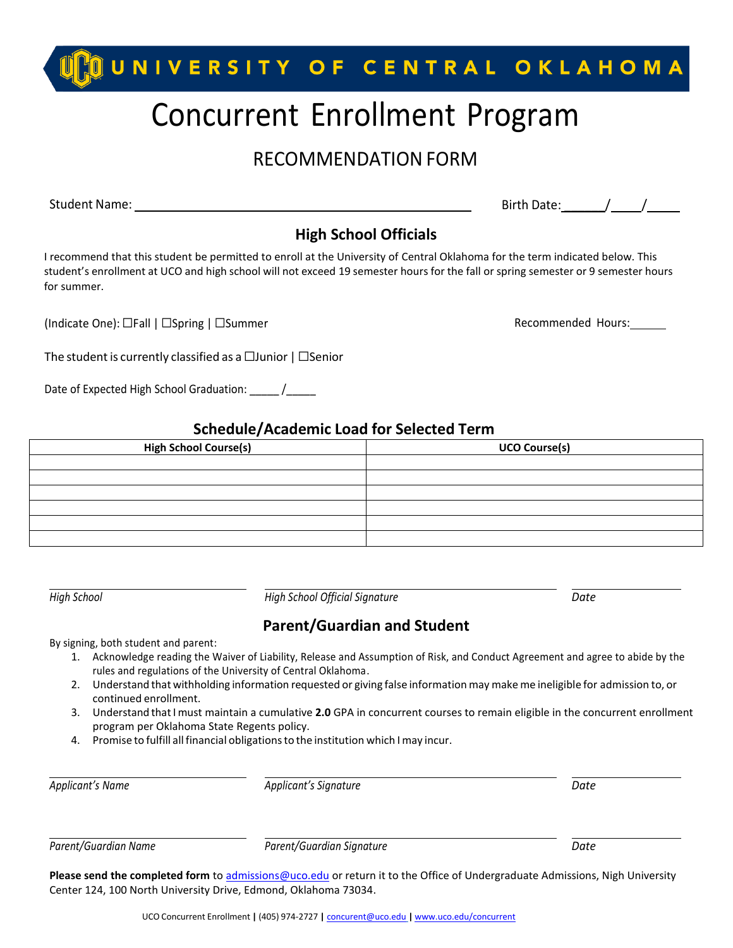# **QUNIVERSITY OF CENTRAL OKLAHOMA** Concurrent Enrollment Program

### RECOMMENDATION FORM

Student Name:

Birth Date:  $\frac{1}{2}$  /  $\frac{1}{2}$ 

### **High School Officials**

I recommend that this student be permitted to enroll at the University of Central Oklahoma for the term indicated below. This student's enrollment at UCO and high school will not exceed 19 semester hours for the fall or spring semester or 9 semester hours for summer.

(Indicate One): □Fall | □Spring | □Summer Recommended Hours:

The student is currently classified as a  $\Box$ Junior |  $\Box$ Senior

Date of Expected High School Graduation:  $\frac{1}{2}$ 

#### **Schedule/Academic Load for Selected Term**

| <b>High School Course(s)</b> | <b>UCO Course(s)</b> |
|------------------------------|----------------------|
|                              |                      |
|                              |                      |
|                              |                      |
|                              |                      |
|                              |                      |
|                              |                      |

*High School High School Official Signature Date*

### **Parent/Guardian and Student**

By signing, both student and parent:

- 1. Acknowledge reading the Waiver of Liability, Release and Assumption of Risk, and Conduct Agreement and agree to abide by the rules and regulations of the University of Central Oklahoma.
- 2. Understand that withholding information requested or giving false information may make me ineligible for admission to, or continued enrollment.
- 3. Understand thatImust maintain a cumulative **2.0** GPA in concurrent courses to remain eligible in the concurrent enrollment program per Oklahoma State Regents policy.
- 4. Promise to fulfill all financial obligationsto the institution which Imay incur.

| Applicant's Name     | Applicant's Signature     | Date |
|----------------------|---------------------------|------|
| Parent/Guardian Name | Parent/Guardian Signature | Date |

**Please send the completed form** t[o admissions@uco.edu](mailto:admissions@uco.edu) or return it to the Office of Undergraduate Admissions, Nigh University Center 124, 100 North University Drive, Edmond, Oklahoma 73034.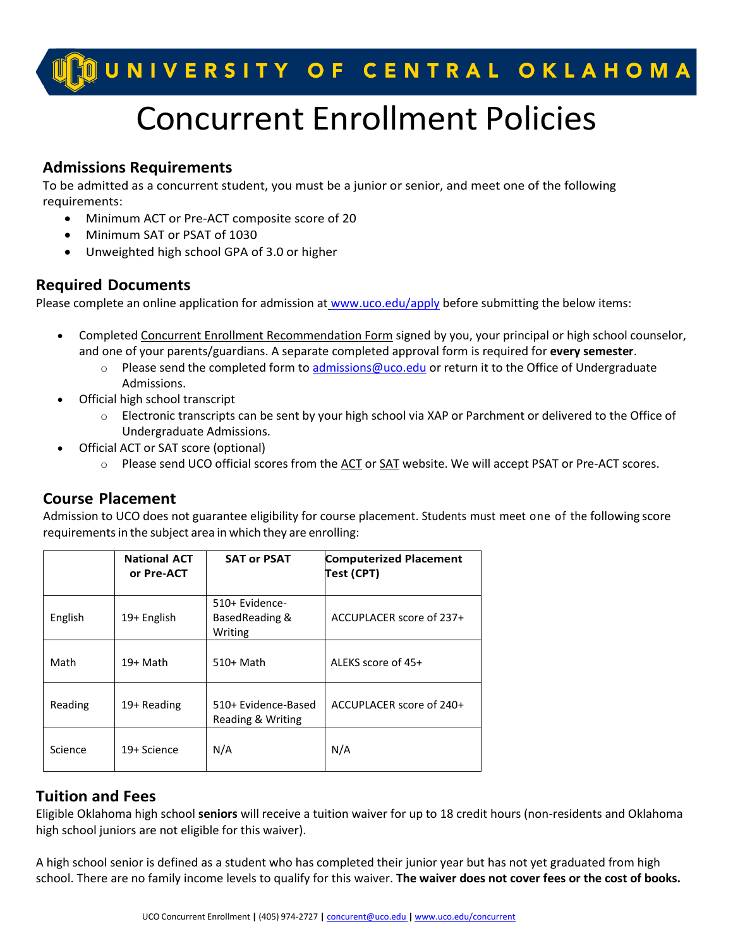### U<mark>D</mark>OUNIVERSITY OF CENTRAL OKLAHOMA

## Concurrent Enrollment Policies

### **Admissions Requirements**

To be admitted as a concurrent student, you must be a junior or senior, and meet one of the following requirements:

- Minimum ACT or Pre-ACT composite score of 20
- Minimum SAT or PSAT of 1030
- Unweighted high school GPA of 3.0 or higher

### **Required Documents**

Please complete an [online application for admission](http://www.uco.edu/apply) at [www.uco.edu/apply](http://www.uco.edu/apply) before submitting the below items:

- Completed [Concurrent Enrollment Recommendation Form](https://www.uco.edu/admissions-aid/files/concurrent-approval-rec-form.pdf) signed by you, your principal or high school counselor, and one of your parents/guardians. A separate completed approval form is required for **every semester**.
	- $\circ$  Please send the completed form to [admissions@uco.edu](mailto:admissions@uco.edu) or return it to the Office of Undergraduate Admissions.
- Official high school transcript
	- o Electronic transcripts can be sent by your high school via XAP or Parchment or delivered to the Office of Undergraduate Admissions.
- Official ACT or SAT score (optional)
	- $\circ$  Please send UCO official scores from the [ACT](http://www.act.org/content/act/en/products-and-services/the-act/scores/sending-your-scores.html) or [SAT](https://collegereadiness.collegeboard.org/sat/scores/sending-scores) website. We will accept PSAT or Pre-ACT scores.

### **Course Placement**

Admission to UCO does not guarantee eligibility for course placement. Students must meet one of the following score requirements in the subject area in which they are enrolling:

|         | <b>National ACT</b><br>or Pre-ACT | <b>SAT or PSAT</b>                           | <b>Computerized Placement</b><br>Test (CPT) |
|---------|-----------------------------------|----------------------------------------------|---------------------------------------------|
| English | 19+ English                       | 510+ Evidence-<br>Based Reading &<br>Writing | ACCUPLACER score of 237+                    |
| Math    | 19+ Math                          | 510+ Math                                    | ALEKS score of 45+                          |
| Reading | 19+ Reading                       | 510+ Evidence-Based<br>Reading & Writing     | ACCUPLACER score of 240+                    |
| Science | 19+ Science                       | N/A                                          | N/A                                         |

### **Tuition and Fees**

Eligible Oklahoma high school **seniors** will receive a tuition waiver for up to 18 credit hours (non-residents and Oklahoma high school juniors are not eligible for this waiver).

A high school senior is defined as a student who has completed their junior year but has not yet graduated from high school. There are no family income levels to qualify for this waiver. **The waiver does not cover fees or the cost of books.**